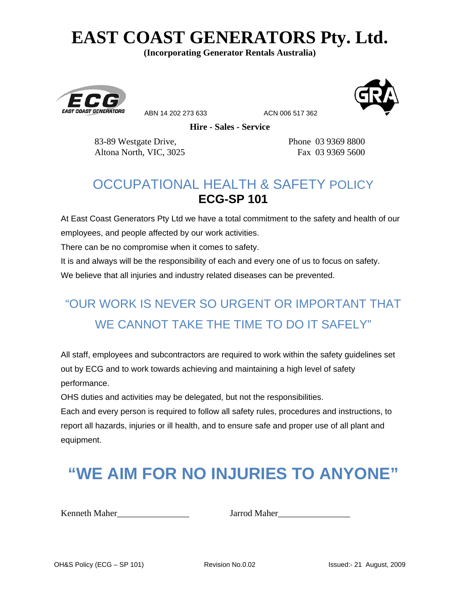# **EAST COAST GENERATORS Pty. Ltd.**

**(Incorporating Generator Rentals Australia)** 



ABN 14 202 273 633 ACN 006 517 362



**Hire - Sales - Service**

83-89 Westgate Drive, Phone 03 9369 8800 Altona North, VIC, 3025 Fax 03 9369 5600

#### OCCUPATIONAL HEALTH & SAFETY POLICY **ECG-SP 101**

At East Coast Generators Pty Ltd we have a total commitment to the safety and health of our employees, and people affected by our work activities.

There can be no compromise when it comes to safety.

It is and always will be the responsibility of each and every one of us to focus on safety.

We believe that all injuries and industry related diseases can be prevented.

#### "OUR WORK IS NEVER SO URGENT OR IMPORTANT THAT WE CANNOT TAKE THE TIME TO DO IT SAFELY"

All staff, employees and subcontractors are required to work within the safety guidelines set out by ECG and to work towards achieving and maintaining a high level of safety performance.

OHS duties and activities may be delegated, but not the responsibilities.

Each and every person is required to follow all safety rules, procedures and instructions, to report all hazards, injuries or ill health, and to ensure safe and proper use of all plant and equipment.

## **"WE AIM FOR NO INJURIES TO ANYONE"**

Kenneth Maher **Maher** Jarrod Maher